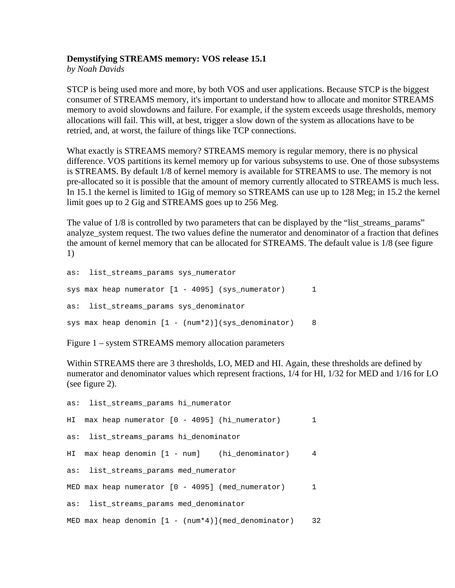# **Demystifying STREAMS memory: VOS release 15.1**

*by Noah Davids* 

STCP is being used more and more, by both VOS and user applications. Because STCP is the biggest consumer of STREAMS memory, it's important to understand how to allocate and monitor STREAMS memory to avoid slowdowns and failure. For example, if the system exceeds usage thresholds, memory allocations will fail. This will, at best, trigger a slow down of the system as allocations have to be retried, and, at worst, the failure of things like TCP connections.

What exactly is STREAMS memory? STREAMS memory is regular memory, there is no physical difference. VOS partitions its kernel memory up for various subsystems to use. One of those subsystems is STREAMS. By default 1/8 of kernel memory is available for STREAMS to use. The memory is not pre-allocated so it is possible that the amount of memory currently allocated to STREAMS is much less. In 15.1 the kernel is limited to 1Gig of memory so STREAMS can use up to 128 Meg; in 15.2 the kernel limit goes up to 2 Gig and STREAMS goes up to 256 Meg.

The value of  $1/8$  is controlled by two parameters that can be displayed by the "list\_streams\_params" analyze\_system request. The two values define the numerator and denominator of a fraction that defines the amount of kernel memory that can be allocated for STREAMS. The default value is 1/8 (see figure 1)

```
as: list_streams_params sys_numerator 
sys max heap numerator [1 - 4095] (sys_numerator) 1
as: list_streams_params sys_denominator 
sys max heap denomin [1 - (num*2)](sys_denominator) 8
```
Figure 1 – system STREAMS memory allocation parameters

Within STREAMS there are 3 thresholds, LO, MED and HI. Again, these thresholds are defined by numerator and denominator values which represent fractions, 1/4 for HI, 1/32 for MED and 1/16 for LO (see figure 2).

```
as: list_streams_params hi_numerator 
HI max heap numerator [0 - 4095] (hi_numerator) 1 
as: list_streams_params hi_denominator 
HI max heap denomin [1 - num] (hi_denominator) 4 
as: list streams params med numerator
MED max heap numerator [0 - 4095] (med numerator) 1
as: list_streams_params med_denominator 
MED max heap denomin [1 - (num*4)](med_denominator) 32
```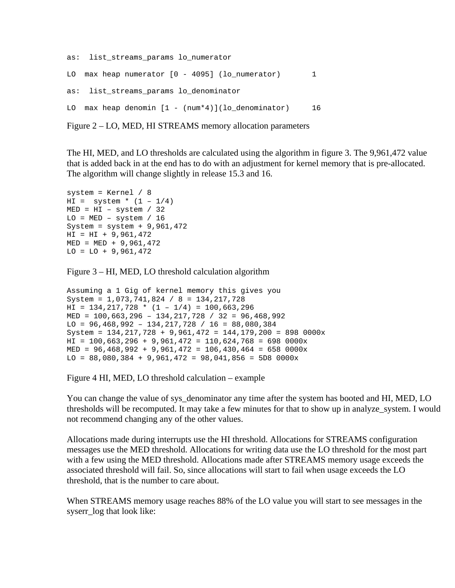```
as: list_streams_params lo_numerator 
LO max heap numerator [0 - 4095] (lo_numerator) 1
as: list streams params lo denominator
LO max heap denomin [1 - (num*4)] (lo denominator) 16
```

```
Figure 2 – LO, MED, HI STREAMS memory allocation parameters
```
The HI, MED, and LO thresholds are calculated using the algorithm in figure 3. The 9,961,472 value that is added back in at the end has to do with an adjustment for kernel memory that is pre-allocated. The algorithm will change slightly in release 15.3 and 16.

```
system = Kernel / 8 
HI = system * (1 - 1/4)MED = HI - system / 32LO = MED - system / 16System = system + 9,961,472 
HI = HI + 9,961,472MED = MED + 9,961,472LO = LO + 9,961,472
```
Figure 3 – HI, MED, LO threshold calculation algorithm

```
Assuming a 1 Gig of kernel memory this gives you 
System = 1,073,741,824 / 8 = 134,217,728 
HI = 134, 217, 728 * (1 - 1/4) = 100, 663, 296MED = 100,663,296 – 134,217,728 / 32 = 96,468,992 
LO = 96,468,992 - 134,217,728 / 16 = 88,080,384System = 134,217,728 + 9,961,472 = 144,179,200 = 898 0000xHI = 100,663,296 + 9,961,472 = 110,624,768 = 698 0000xMED = 96,468,992 + 9,961,472 = 106,430,464 = 658 0000x 
LO = 88,080,384 + 9,961,472 = 98,041,856 = 5D8 0000x
```
Figure 4 HI, MED, LO threshold calculation – example

You can change the value of sys\_denominator any time after the system has booted and HI, MED, LO thresholds will be recomputed. It may take a few minutes for that to show up in analyze\_system. I would not recommend changing any of the other values.

Allocations made during interrupts use the HI threshold. Allocations for STREAMS configuration messages use the MED threshold. Allocations for writing data use the LO threshold for the most part with a few using the MED threshold. Allocations made after STREAMS memory usage exceeds the associated threshold will fail. So, since allocations will start to fail when usage exceeds the LO threshold, that is the number to care about.

When STREAMS memory usage reaches 88% of the LO value you will start to see messages in the syserr log that look like: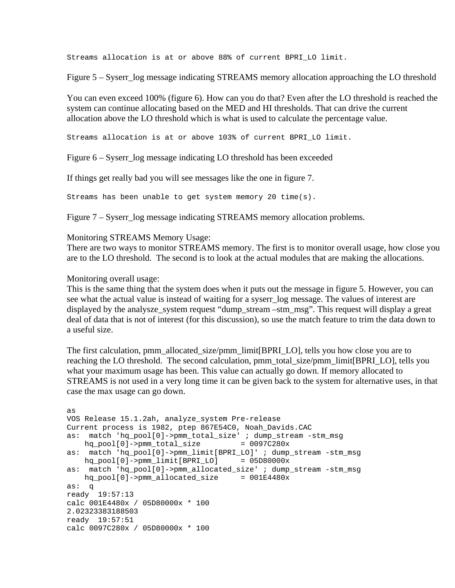Streams allocation is at or above 88% of current BPRI\_LO limit.

Figure 5 – Syserr\_log message indicating STREAMS memory allocation approaching the LO threshold

You can even exceed 100% (figure 6). How can you do that? Even after the LO threshold is reached the system can continue allocating based on the MED and HI thresholds. That can drive the current allocation above the LO threshold which is what is used to calculate the percentage value.

Streams allocation is at or above 103% of current BPRI\_LO limit.

Figure 6 – Syserr\_log message indicating LO threshold has been exceeded

If things get really bad you will see messages like the one in figure 7.

Streams has been unable to get system memory 20 time(s).

Figure 7 – Syserr log message indicating STREAMS memory allocation problems.

### Monitoring STREAMS Memory Usage:

There are two ways to monitor STREAMS memory. The first is to monitor overall usage, how close you are to the LO threshold. The second is to look at the actual modules that are making the allocations.

### Monitoring overall usage:

This is the same thing that the system does when it puts out the message in figure 5. However, you can see what the actual value is instead of waiting for a syserr log message. The values of interest are displayed by the analysze\_system request "dump\_stream –stm\_msg". This request will display a great deal of data that is not of interest (for this discussion), so use the match feature to trim the data down to a useful size.

The first calculation, pmm\_allocated\_size/pmm\_limit[BPRI\_LO], tells you how close you are to reaching the LO threshold. The second calculation, pmm\_total\_size/pmm\_limit[BPRI\_LO], tells you what your maximum usage has been. This value can actually go down. If memory allocated to STREAMS is not used in a very long time it can be given back to the system for alternative uses, in that case the max usage can go down.

```
as 
VOS Release 15.1.2ah, analyze_system Pre-release 
Current process is 1982, ptep 867E54C0, Noah_Davids.CAC 
as: match 'hq_pool[0]->pmm_total_size' ; dump_stream -stm_msg 
    hq_pool[0]->pmm_total_size = 0097C280x 
as: match 'hq_pool[0]->pmm_limit[BPRI_LO]' ; dump_stream -stm_msg 
   hq\_pool[0]-pmm\_limit[BPRI\_LO] = 05D80000xas: match 'hq_pool[0]->pmm_allocated_size' ; dump_stream -stm_msg 
    hq_pool[0]->pmm_allocated_size = 001E4480x 
as: q 
ready 19:57:13 
calc 001E4480x / 05D80000x * 100 
2.02323383188503 
ready 19:57:51 
calc 0097C280x / 05D80000x * 100
```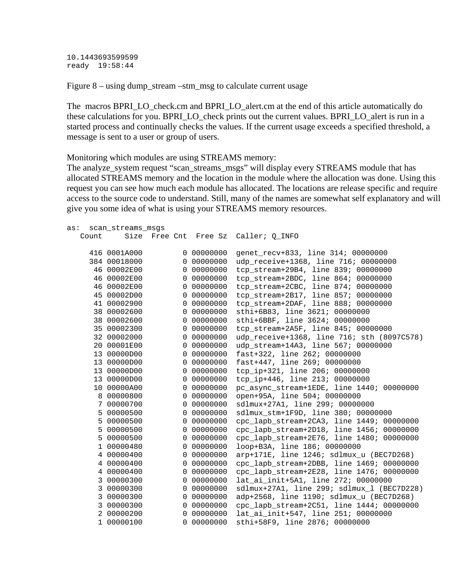10.1443693599599 ready 19:58:44

Figure 8 – using dump\_stream –stm\_msg to calculate current usage

The macros BPRI\_LO\_check.cm and BPRI\_LO\_alert.cm at the end of this article automatically do these calculations for you. BPRI\_LO\_check prints out the current values. BPRI\_LO\_alert is run in a started process and continually checks the values. If the current usage exceeds a specified threshold, a message is sent to a user or group of users.

Monitoring which modules are using STREAMS memory:

The analyze\_system request "scan\_streams\_msgs" will display every STREAMS module that has allocated STREAMS memory and the location in the module where the allocation was done. Using this request you can see how much each module has allocated. The locations are release specific and require access to the source code to understand. Still, many of the names are somewhat self explanatory and will give you some idea of what is using your STREAMS memory resources.

| as: |       | scan_streams_msgs |          |                       |                                            |
|-----|-------|-------------------|----------|-----------------------|--------------------------------------------|
|     | Count |                   |          | Size Free Cnt Free Sz | Caller; Q INFO                             |
|     |       |                   |          |                       |                                            |
|     |       | 416 0001A000      |          | 0 00000000            | genet_recv+833, line 314; 00000000         |
|     |       | 384 00018000      |          | 0 00000000            | udp_receive+1368, line 716; 00000000       |
|     |       | 46 00002E00       |          | 0 00000000            | tcp_stream+29B4, line 839; 00000000        |
|     |       | 46 00002E00       |          | 0 00000000            | tcp_stream+2BDC, line 864; 00000000        |
|     |       | 46 00002E00       |          | 0 00000000            | tcp stream+2CBC, line 874; 00000000        |
|     |       | 45 00002D00       |          | 0 00000000            | tcp stream+2B17, line 857; 00000000        |
|     |       | 41 00002900       |          | 0 00000000            | tcp_stream+2DAF, line 888; 00000000        |
|     |       | 38 00002600       |          | 0 00000000            | sthi+6B83, line 3621; 00000000             |
|     |       | 38 00002600       |          | 0 00000000            | sthi+6BBF, line 3624; 00000000             |
|     |       | 35 00002300       |          | 0 00000000            | tcp stream+2A5F, line 845; 00000000        |
|     |       | 32 00002000       |          | 0 00000000            | udp_receive+1368, line 716; sth (8097C578) |
|     |       | 20 00001E00       |          | 0 00000000            | udp_stream+14A3, line 567; 00000000        |
|     |       | 13 00000D00       |          | 0 00000000            | fast+322, line 262; 00000000               |
|     |       | 13 00000D00       |          | 0 00000000            | fast+447, line 269; 00000000               |
|     |       | 13 00000D00       |          | 0 00000000            | tcp_ip+321, line 206; 00000000             |
|     |       | 13 00000D00       |          | 0 00000000            | tcp_ip+446, line 213; 00000000             |
|     |       | 10 00000A00       |          | 0 00000000            | pc_async_stream+1EDE, line 1440; 00000000  |
|     |       | 8 00000800        |          | 0 00000000            | open+95A, line 504; 00000000               |
|     | 7     | 00000700          |          | 0 00000000            | sdlmux+27A1, line 299; 00000000            |
|     | 5     | 00000500          |          | 0 00000000            | sdlmux_stm+1F9D, line 380; 00000000        |
|     | 5     | 00000500          |          | 0 00000000            | cpc_lapb_stream+2CA3, line 1449; 00000000  |
|     | 5     | 00000500          |          | 0 00000000            | cpc_lapb_stream+2D18, line 1456; 00000000  |
|     |       | 5 00000500        |          | 0 00000000            | cpc_lapb_stream+2E76, line 1480; 00000000  |
|     |       | 1 00000480        |          | 0 00000000            | loop+B3A, line 186; 00000000               |
|     |       | 4 00000400        |          | 0 00000000            | arp+171E, line 1246; sdlmux_u (BEC7D268)   |
|     |       | 4 00000400        |          | 0 00000000            | cpc_lapb_stream+2DBB, line 1469; 00000000  |
|     |       | 4 00000400        |          | 0 00000000            | cpc lapb stream+2E28, line 1476; 00000000  |
|     |       | 3 00000300        |          | 0 00000000            | lat ai init+5A1, line 272; 00000000        |
|     |       | 3 00000300        |          | 0 00000000            | sdlmux+27A1, line 299; sdlmux_1 (BEC7D228) |
|     |       | 3 00000300        |          | 0 00000000            | adp+2568, line 1190; sdlmux_u (BEC7D268)   |
|     |       | 3 00000300        |          | 0 00000000            | cpc lapb stream+2C51, line 1444; 00000000  |
|     |       | 2 00000200        | $\Omega$ | 00000000              | lat_ai_init+547, line 251; 00000000        |
|     |       | 1 00000100        |          | 0 00000000            | sthi+58F9, line 2876; 00000000             |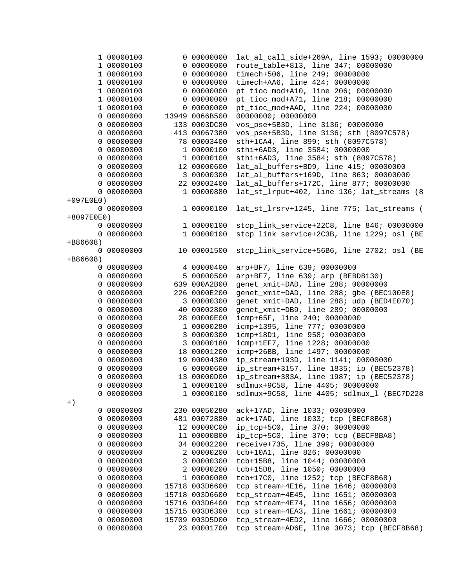|               | 1 00000100 |  | 0 00000000     | lat_al_call_side+269A, line 1593; 00000000 |
|---------------|------------|--|----------------|--------------------------------------------|
|               | 1 00000100 |  | 0 00000000     | route_table+813, line 347; 00000000        |
|               | 1 00000100 |  | 0 00000000     | timech+506, line 249; 00000000             |
|               | 1 00000100 |  | 0 00000000     | timech+AA6, line 424; 00000000             |
|               | 1 00000100 |  | 0 00000000     | pt_tioc_mod+A10, line 206; 00000000        |
|               | 1 00000100 |  | 0 00000000     | pt_tioc_mod+A71, line 218; 00000000        |
|               | 1 00000100 |  | 0 00000000     | pt_tioc_mod+AAD, line 224; 00000000        |
|               | 0 00000000 |  | 13949 0066B500 | 00000000; 00000000                         |
|               | 0 00000000 |  | 133 0003DC80   | vos_pse+5B3D, line 3136; 00000000          |
|               | 0 00000000 |  | 413 00067380   | vos_pse+5B3D, line 3136; sth (8097C578)    |
|               | 0 00000000 |  | 78 00003400    | sth+1CA4, line 899; sth (8097C578)         |
|               | 0 00000000 |  | 1 00000100     | sthi+6AD3, line 3584; 00000000             |
|               | 0 00000000 |  | 1 00000100     | sthi+6AD3, line 3584; sth (8097C578)       |
|               | 0 00000000 |  | 12 00000600    | lat_al_buffers+BD9, line 415; 00000000     |
|               | 0 00000000 |  | 3 00000300     | lat_al_buffers+169D, line 863; 00000000    |
|               | 0 00000000 |  | 22 00002400    | lat_al_buffers+172C, line 877; 00000000    |
|               | 0 00000000 |  | 1 00000880     | lat_st_lrput+402, line 136; lat_streams (8 |
| $+097E0E0)$   |            |  |                |                                            |
|               | 0 00000000 |  | 1 00000100     | lat_st_lrsrv+1245, line 775; lat_streams ( |
| $+8097E0E0$ ) |            |  |                |                                            |
|               | 0 00000000 |  | 1 00000100     | stcp_link_service+22C8, line 846; 00000000 |
|               | 0 00000000 |  | 1 00000100     | stcp_link_service+2C3B, line 1229; osl (BE |
|               |            |  |                |                                            |
| +B86608)      |            |  | 10 00001500    | stcp_link_service+56B6, line 2702; osl (BE |
| 0 00000000    |            |  |                |                                            |
| $+B86608)$    |            |  |                |                                            |
|               | 0 00000000 |  | 4 00000400     | arp+BF7, line 639; 00000000                |
|               | 0 00000000 |  | 5 00000500     | arp+BF7, line 639; arp (BEBD8130)          |
|               | 0 00000000 |  | 639 000A2B00   | genet_xmit+DAD, line 288; 00000000         |
|               | 0 00000000 |  | 226 0000E200   | genet_xmit+DAD, line 288; gbe (BEC100E8)   |
|               | 0 00000000 |  | 3 00000300     | genet_xmit+DAD, line 288; udp (BED4E070)   |
|               | 0 00000000 |  | 40 00002800    | genet_xmit+DB9, line 289; 00000000         |
|               | 0 00000000 |  | 28 00000E00    | icmp+65F, line 240; 00000000               |
|               | 0 00000000 |  | 1 00000280     | icmp+1395, line 777; 00000000              |
|               | 0 00000000 |  | 3 00000300     | icmp+18D1, line 958; 00000000              |
|               | 0 00000000 |  | 3 00000180     | icmp+1EF7, line 1228; 00000000             |
|               | 0 00000000 |  | 18 00001200    | icmp+26BB, line 1497; 00000000             |
|               | 0 00000000 |  | 19 00004380    | ip_stream+193D, line 1141; 00000000        |
|               | 0 00000000 |  | 6 00000600     | ip_stream+3157, line 1835; ip (BEC52378)   |
|               | 0 00000000 |  | 13 00000D00    | ip_stream+383A, line 1987; ip (BEC52378)   |
|               | 0 00000000 |  | 1 00000100     | sdlmux+9C58, line 4405; 00000000           |
|               | 0 00000000 |  | 1 00000100     | sdlmux+9C58, line 4405; sdlmux_1 (BEC7D228 |
| $+$ )         |            |  |                |                                            |
|               | 0 00000000 |  | 230 00050280   | ack+17AD, line 1033; 00000000              |
|               | 0 00000000 |  | 481 00072880   | ack+17AD, line 1033; tcp (BECF8B68)        |
|               | 0 00000000 |  | 12 00000C00    | ip_tcp+5C0, line 370; 00000000             |
|               | 0 00000000 |  | 11 00000B00    | ip_tcp+5C0, line 370; tcp (BECF8BA8)       |
|               | 0 00000000 |  | 34 00002200    | receive+735, line 399; 00000000            |
|               | 0 00000000 |  | 2 00000200     | tcb+10A1, line 826; 00000000               |
|               | 0 00000000 |  | 3 00000300     | tcb+15B8, line 1044; 00000000              |
|               | 0 00000000 |  | 2 00000200     | tcb+15D8, line 1050; 00000000              |
|               | 0 00000000 |  | 1 00000080     | tcb+17C0, line 1252; tcp (BECF8B68)        |
|               | 0 00000000 |  | 15718 003D6600 | tcp_stream+4E16, line 1646; 00000000       |
|               | 0 00000000 |  | 15718 003D6600 | tcp_stream+4E45, line 1651; 00000000       |
|               | 0 00000000 |  | 15716 003D6400 | tcp_stream+4E74, line 1656; 00000000       |
|               | 0 00000000 |  | 15715 003D6300 | tcp_stream+4EA3, line 1661; 00000000       |
|               | 0 00000000 |  | 15709 003D5D00 | tcp_stream+4ED2, line 1666; 00000000       |
|               | 0 00000000 |  | 23 00001700    | tcp_stream+AD6E, line 3073; tcp (BECF8B68) |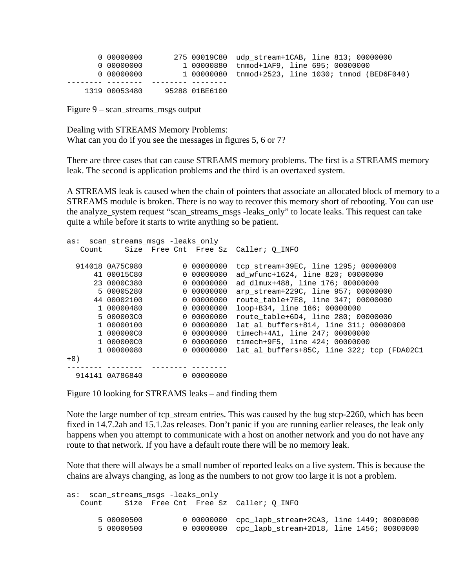| 0 00000000    |                | 275 00019C80 udp stream+1CAB, line 813; 00000000   |  |
|---------------|----------------|----------------------------------------------------|--|
| 0 00000000    |                | 1 00000880 tnmod+1AF9, line 695; 00000000          |  |
| 0 00000000    |                | 1 00000080 tnmod+2523, line 1030; tnmod (BED6F040) |  |
|               |                |                                                    |  |
| 1319 00053480 | 95288 01BE6100 |                                                    |  |

Figure 9 – scan\_streams\_msgs output

Dealing with STREAMS Memory Problems: What can you do if you see the messages in figures 5, 6 or 7?

There are three cases that can cause STREAMS memory problems. The first is a STREAMS memory leak. The second is application problems and the third is an overtaxed system.

A STREAMS leak is caused when the chain of pointers that associate an allocated block of memory to a STREAMS module is broken. There is no way to recover this memory short of rebooting. You can use the analyze\_system request "scan\_streams\_msgs -leaks\_only" to locate leaks. This request can take quite a while before it starts to write anything so be patient.

| scan streams msgs -leaks only<br>as: |                 |  |            |                                            |  |
|--------------------------------------|-----------------|--|------------|--------------------------------------------|--|
| Count                                |                 |  |            | Size Free Cnt Free Sz Caller; O INFO       |  |
|                                      |                 |  |            |                                            |  |
|                                      | 914018 0A75C980 |  | 0 00000000 | tcp stream+39EC, line 1295; 00000000       |  |
|                                      | 41 00015C80     |  | 0 00000000 | ad wfunc+1624, line 820; 00000000          |  |
|                                      | 23 0000C380     |  | 0 00000000 | ad dlmux+488, line 176; 00000000           |  |
|                                      | 5 00005280      |  | 0 00000000 | arp_stream+229C, line 957; 00000000        |  |
|                                      | 44 00002100     |  | 0 00000000 | route table+7E8, line 347; 00000000        |  |
|                                      | 1 00000480      |  | 0 00000000 | loop+B34, line 186; 00000000               |  |
|                                      | 5 000003C0      |  | 0 00000000 | route table+6D4, line 280; 00000000        |  |
|                                      | 1 00000100      |  | 0 00000000 | lat al buffers+814, line 311; 00000000     |  |
|                                      | 1 000000C0      |  | 0 00000000 | timech+4A1, line 247; 00000000             |  |
|                                      | 1 000000C0      |  | 0 00000000 | timech+9F5, line 424; 00000000             |  |
|                                      | 1 00000080      |  | 0 00000000 | lat al buffers+85C, line 322; tcp (FDA02C1 |  |
| $+8)$                                |                 |  |            |                                            |  |
|                                      |                 |  |            |                                            |  |
|                                      | 914141 0A786840 |  | 0 00000000 |                                            |  |

Figure 10 looking for STREAMS leaks – and finding them

Note the large number of tcp\_stream entries. This was caused by the bug stcp-2260, which has been fixed in 14.7.2ah and 15.1.2as releases. Don't panic if you are running earlier releases, the leak only happens when you attempt to communicate with a host on another network and you do not have any route to that network. If you have a default route there will be no memory leak.

Note that there will always be a small number of reported leaks on a live system. This is because the chains are always changing, as long as the numbers to not grow too large it is not a problem.

```
as: scan streams msgs -leaks only
   Count Size Free Cnt Free Sz Caller; Q INFO
        5 00000500 0 00000000 cpc_lapb_stream+2CA3, line 1449; 00000000<br>5 00000500 0 00000000 cpc lapb stream+2D18. line 1456; 00000000
                                0 00000000 cpc_lapb_stream+2D18, line 1456; 00000000
```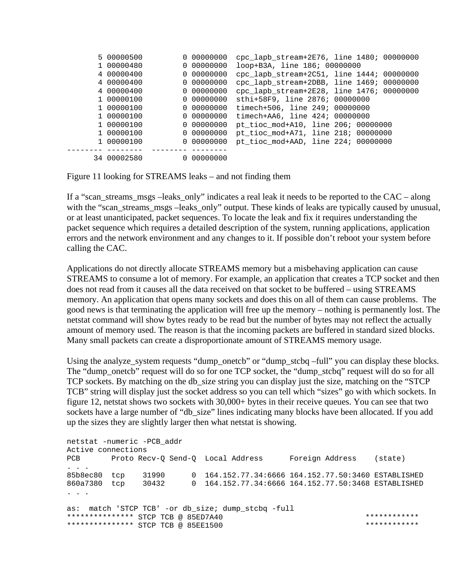| 5 00000500  |  | cpc_lapb_stream+2E76, line 1480; 00000000                                                                                                                            |
|-------------|--|----------------------------------------------------------------------------------------------------------------------------------------------------------------------|
| 1 00000480  |  | loop+B3A, line 186; 00000000                                                                                                                                         |
| 4 00000400  |  | cpc_lapb_stream+2C51, line 1444; 00000000                                                                                                                            |
| 4 00000400  |  | cpc_lapb_stream+2DBB, line 1469;<br>00000000                                                                                                                         |
| 4 00000400  |  | cpc_lapb_stream+2E28, line 1476; 00000000                                                                                                                            |
| 1 00000100  |  | sthi+58F9, line 2876; 00000000                                                                                                                                       |
| 1 00000100  |  | timech+506, line 249; 00000000                                                                                                                                       |
| 1 00000100  |  | timech+AA6, line 424; 00000000                                                                                                                                       |
| 1 00000100  |  | pt_tioc_mod+A10, line 206; 00000000                                                                                                                                  |
| 1 00000100  |  | pt_tioc_mod+A71, line 218; 00000000                                                                                                                                  |
| 1 00000100  |  | pt_tioc_mod+AAD, line 224; 00000000                                                                                                                                  |
|             |  |                                                                                                                                                                      |
| 34 00002580 |  |                                                                                                                                                                      |
|             |  | 0 00000000<br>0 00000000<br>0 00000000<br>0 00000000<br>0 00000000<br>0 00000000<br>0 00000000<br>0 00000000<br>0 00000000<br>0 00000000<br>0 00000000<br>0 00000000 |

Figure 11 looking for STREAMS leaks – and not finding them

If a "scan streams msgs –leaks only" indicates a real leak it needs to be reported to the CAC – along with the "scan\_streams\_msgs –leaks\_only" output. These kinds of leaks are typically caused by unusual, or at least unanticipated, packet sequences. To locate the leak and fix it requires understanding the packet sequence which requires a detailed description of the system, running applications, application errors and the network environment and any changes to it. If possible don't reboot your system before calling the CAC.

Applications do not directly allocate STREAMS memory but a misbehaving application can cause STREAMS to consume a lot of memory. For example, an application that creates a TCP socket and then does not read from it causes all the data received on that socket to be buffered – using STREAMS memory. An application that opens many sockets and does this on all of them can cause problems. The good news is that terminating the application will free up the memory – nothing is permanently lost. The netstat command will show bytes ready to be read but the number of bytes may not reflect the actually amount of memory used. The reason is that the incoming packets are buffered in standard sized blocks. Many small packets can create a disproportionate amount of STREAMS memory usage.

Using the analyze\_system requests "dump\_onetcb" or "dump\_stcbq –full" you can display these blocks. The "dump\_onetcb" request will do so for one TCP socket, the "dump\_stcbq" request will do so for all TCP sockets. By matching on the db\_size string you can display just the size, matching on the "STCP TCB" string will display just the socket address so you can tell which "sizes" go with which sockets. In figure 12, netstat shows two sockets with 30,000+ bytes in their receive queues. You can see that two sockets have a large number of "db\_size" lines indicating many blocks have been allocated. If you add up the sizes they are slightly larger then what netstat is showing.

netstat -numeric -PCB\_addr Active connections PCB Proto Recv-Q Send-Q Local Address Foreign Address (state) . . . 85b8ec80 tcp 31990 0 164.152.77.34:6666 164.152.77.50:3460 ESTABLISHED 860a7380 tcp 30432 0 164.152.77.34:6666 164.152.77.50:3468 ESTABLISHED . . . as: match 'STCP TCB' -or db size; dump stcbq -full \*\*\*\*\*\*\*\*\*\*\*\*\*\*\* STCP TCB @ 85ED7A40 \*\*\*\*\*\*\*\*\*\*\*\* \*\*\*\*\*\*\*\*\*\*\*\*\*\*\* STCP TCB @ 85EE1500 \*\*\*\*\*\*\*\*\*\*\*\*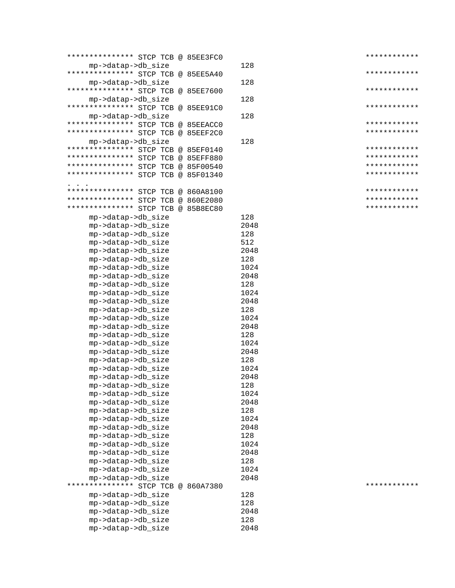| ************** STCP TCB @ 85EE3FC0       |             | ************ |
|------------------------------------------|-------------|--------------|
| mp->datap->db_size                       | 128         |              |
| ************** STCP TCB @ 85EE5A40       |             | ************ |
| mp->datap->db_size                       | 128         |              |
| ************** STCP TCB @ 85EE7600       |             | ************ |
| mp->datap->db_size                       | 128         |              |
| ************** STCP TCB @ 85EE91C0       |             | ************ |
| mp->datap->db_size                       | 128         |              |
| ************** STCP TCB @ 85EEACC0       |             | ************ |
| ************** STCP TCB @ 85EEF2C0       |             | ************ |
| mp->datap->db_size                       | 128         |              |
| ************** STCP TCB @ 85EF0140       |             | ************ |
| ***************<br>STCP TCB @ 85EFF880   |             | ************ |
| *************** STCP TCB @ 85F00540      |             | ************ |
| ************** STCP TCB @ 85F01340       |             | ************ |
|                                          |             |              |
| *************** STCP TCB @ 860A8100      |             | ************ |
| ************** STCP TCB @ 860E2080       |             | ************ |
| *************** STCP TCB @ 85B8EC80      |             | ************ |
| mp->datap->db_size                       | 128         |              |
| mp->datap->db_size                       | 2048        |              |
| mp->datap->db_size                       | 128         |              |
| mp->datap->db_size                       | 512         |              |
| mp->datap->db_size                       | 2048        |              |
| mp->datap->db_size                       | 128         |              |
| mp->datap->db_size                       | 1024        |              |
| mp->datap->db_size                       | 2048        |              |
| mp->datap->db_size                       | 128         |              |
| mp->datap->db_size                       | 1024        |              |
| mp->datap->db_size                       | 2048        |              |
| mp->datap->db_size                       | 128         |              |
| mp->datap->db_size                       | 1024        |              |
| mp->datap->db_size                       | 2048        |              |
| mp->datap->db_size                       | 128         |              |
| mp->datap->db_size                       | 1024        |              |
| mp->datap->db_size                       | 2048        |              |
| mp->datap->db_size                       | 128         |              |
| mp->datap->db_size                       | 1024        |              |
| mp->datap->db_size                       | 2048        |              |
| mp->datap->db_size                       | 128         |              |
| mp->datap->db_size                       | 1024        |              |
| mp->datap->db_size                       | 2048        |              |
| mp->datap->db_size                       | 128         |              |
| mp->datap->db_size                       | 1024        |              |
| mp->datap->db_size                       | 2048        |              |
| mp->datap->db_size                       | 128         |              |
| mp->datap->db_size                       | 1024        |              |
| mp->datap->db_size                       | 2048        |              |
| mp->datap->db_size                       | 128         |              |
| mp->datap->db_size                       | 1024        |              |
| mp->datap->db_size                       |             |              |
|                                          |             |              |
|                                          | 2048        | ************ |
| ************** STCP TCB @ 860A7380       |             |              |
| mp->datap->db_size                       | 128         |              |
| mp->datap->db_size                       | 128         |              |
| mp->datap->db_size                       | 2048        |              |
| mp->datap->db_size<br>mp->datap->db_size | 128<br>2048 |              |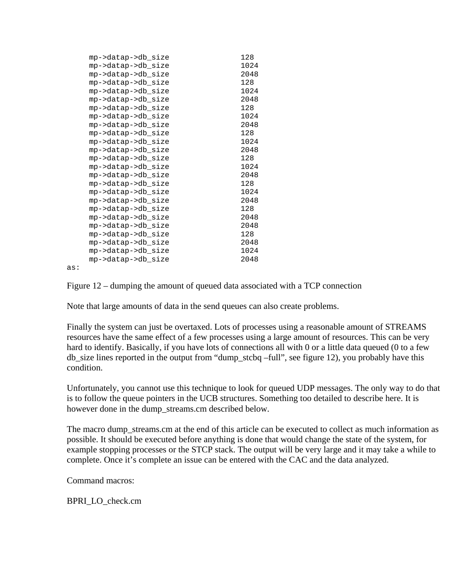|     | mp->datap->db_size | 128  |  |
|-----|--------------------|------|--|
|     | mp->datap->db_size | 1024 |  |
|     | mp->datap->db_size | 2048 |  |
|     | mp->datap->db_size | 128  |  |
|     | mp->datap->db_size | 1024 |  |
|     | mp->datap->db_size | 2048 |  |
|     | mp->datap->db_size | 128  |  |
|     | mp->datap->db_size | 1024 |  |
|     | mp->datap->db_size | 2048 |  |
|     | mp->datap->db_size | 128  |  |
|     | mp->datap->db_size | 1024 |  |
|     | mp->datap->db_size | 2048 |  |
|     | mp->datap->db_size | 128  |  |
|     | mp->datap->db_size | 1024 |  |
|     | mp->datap->db_size | 2048 |  |
|     | mp->datap->db_size | 128  |  |
|     | mp->datap->db_size | 1024 |  |
|     | mp->datap->db_size | 2048 |  |
|     | mp->datap->db_size | 128  |  |
|     | mp->datap->db_size | 2048 |  |
|     | mp->datap->db_size | 2048 |  |
|     | mp->datap->db_size | 128  |  |
|     | mp->datap->db_size | 2048 |  |
|     | mp->datap->db_size | 1024 |  |
|     | mp->datap->db_size | 2048 |  |
| as: |                    |      |  |

as:

Figure 12 – dumping the amount of queued data associated with a TCP connection

Note that large amounts of data in the send queues can also create problems.

Finally the system can just be overtaxed. Lots of processes using a reasonable amount of STREAMS resources have the same effect of a few processes using a large amount of resources. This can be very hard to identify. Basically, if you have lots of connections all with 0 or a little data queued (0 to a few db\_size lines reported in the output from "dump\_stcbq –full", see figure 12), you probably have this condition.

Unfortunately, you cannot use this technique to look for queued UDP messages. The only way to do that is to follow the queue pointers in the UCB structures. Something too detailed to describe here. It is however done in the dump streams.cm described below.

The macro dump streams.cm at the end of this article can be executed to collect as much information as possible. It should be executed before anything is done that would change the state of the system, for example stopping processes or the STCP stack. The output will be very large and it may take a while to complete. Once it's complete an issue can be entered with the CAC and the data analyzed.

Command macros:

BPRI\_LO\_check.cm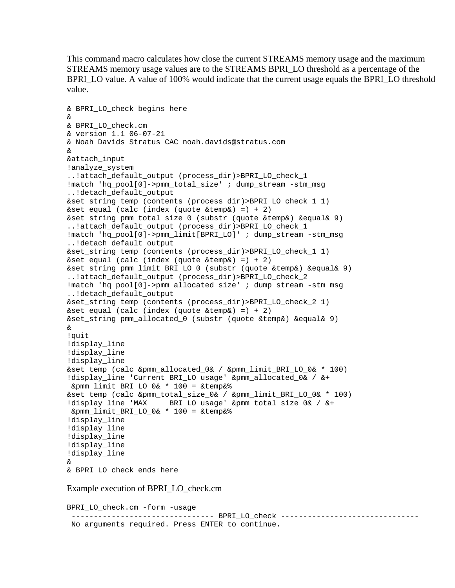This command macro calculates how close the current STREAMS memory usage and the maximum STREAMS memory usage values are to the STREAMS BPRI\_LO threshold as a percentage of the BPRI\_LO value. A value of 100% would indicate that the current usage equals the BPRI\_LO threshold value.

```
& BPRI_LO_check begins here 
& 
& BPRI_LO_check.cm 
& version 1.1 06-07-21 
& Noah Davids Stratus CAC noah.davids@stratus.com 
& 
&attach_input 
!analyze_system 
..!attach_default_output (process_dir)>BPRI_LO_check_1 
!match 'hq_pool[0]->pmm_total_size' ; dump_stream -stm_msg 
..!detach_default_output 
&set_string temp (contents (process_dir)>BPRI_LO_check_1 1) 
\&set equal (calc (index (quote \&temp\&) =) + 2)
&set_string pmm_total_size_0 (substr (quote &temp&) &equal& 9) 
..!attach_default_output (process_dir)>BPRI_LO_check_1 
!match 'hq_pool[0]->pmm_limit[BPRI_LO]' ; dump_stream -stm_msg 
..!detach_default_output 
&set_string temp (contents (process_dir)>BPRI_LO_check_1 1) 
\&set equal (calc (index (quote \&temp\&) =) + 2)
&set_string pmm_limit_BRI_LO_0 (substr (quote &temp&) &equal& 9) 
..!attach_default_output (process_dir)>BPRI_LO_check_2 
!match 'hq_pool[0]->pmm_allocated_size' ; dump_stream -stm_msg 
..!detach_default_output 
&set_string temp (contents (process_dir)>BPRI_LO_check_2 1) 
&set equal (calc (index (quote &temp & ) =) + 2)&set_string pmm_allocated_0 (substr (quote &temp&) &equal& 9) 
& 
!quit 
!display_line 
!display_line 
!display_line 
&set temp (calc &pmm_allocated_0& / &pmm_limit_BRI_LO_0& * 100) 
!display_line 'Current BRI_LO usage' &pmm_allocated_0& / &+ 
 &pmm_limit_BRI_LO_0& * 100 = &temp&% 
&set temp (calc &pmm_total_size_0& / &pmm_limit_BRI_LO_0& * 100) 
!display_line 'MAX BRI_LO usage' &pmm_total_size_0& / &+ 
 &pmm_limit_BRI_LO_0& * 100 = &temp&% 
!display_line 
!display_line 
!display_line 
!display_line 
!display_line 
& 
& BPRI_LO_check ends here
```
Example execution of BPRI\_LO\_check.cm

```
BPRI_LO_check.cm -form -usage 
------------------------------------- BPRI_LO_check --------------------------------
 No arguments required. Press ENTER to continue.
```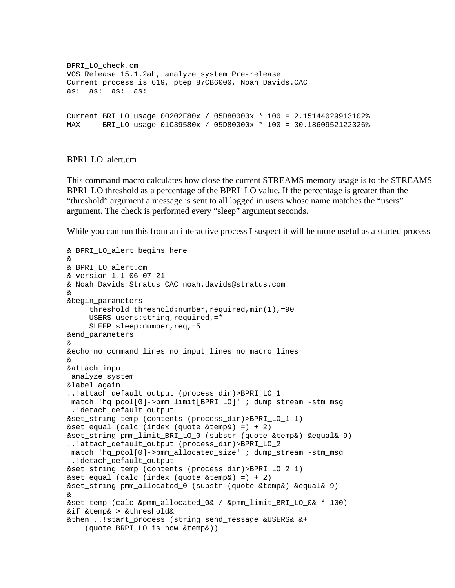```
BPRI_LO_check.cm 
VOS Release 15.1.2ah, analyze_system Pre-release 
Current process is 619, ptep 87CB6000, Noah_Davids.CAC 
as: as: as: as: 
Current BRI LO usage 00202F80x / 05D80000x * 100 = 2.15144029913102%MAX BRI_LO usage 01C39580x / 05D80000x * 100 = 30.1860952122326%
```
## BPRI\_LO\_alert.cm

This command macro calculates how close the current STREAMS memory usage is to the STREAMS BPRI\_LO threshold as a percentage of the BPRI\_LO value. If the percentage is greater than the "threshold" argument a message is sent to all logged in users whose name matches the "users" argument. The check is performed every "sleep" argument seconds.

While you can run this from an interactive process I suspect it will be more useful as a started process

```
& BPRI_LO_alert begins here 
& 
& BPRI_LO_alert.cm 
& version 1.1 06-07-21 
& Noah Davids Stratus CAC noah.davids@stratus.com 
& 
&begin_parameters 
      threshold threshold:number,required,min(1),=90 
      USERS users:string,required,=* 
     SLEEP sleep: number, req, =5
&end_parameters 
& 
&echo no_command_lines no_input_lines no_macro_lines 
& 
&attach_input 
!analyze_system 
&label again 
..!attach default output (process dir)>BPRI LO 1
!match 'hq pool[0]->pmm_limit[BPRI_LO]' ; dump_stream -stm_msq
..!detach_default_output 
&set_string temp (contents (process_dir)>BPRI_LO_1 1) 
\&set equal (calc (index (quote \&temp\&) =) + 2)
&set_string pmm_limit_BRI_LO_0 (substr (quote &temp&) &equal& 9) 
..!attach_default_output (process_dir)>BPRI_LO_2 
!match 'hq_pool[0]->pmm_allocated_size' ; dump_stream -stm_msg 
..!detach_default_output 
&set_string temp (contents (process_dir)>BPRI_LO_2 1) 
\&set equal (calc (index (quote \&temp\&) =) + 2)
&set_string pmm_allocated_0 (substr (quote &temp&) &equal& 9) 
& 
&set temp (calc &pmm_allocated_0& / &pmm_limit_BRI_LO_0& * 100) 
&if &temp& > &threshold& 
&then ..!start_process (string send_message &USERS& &+ 
     (quote BRPI_LO is now &temp&))
```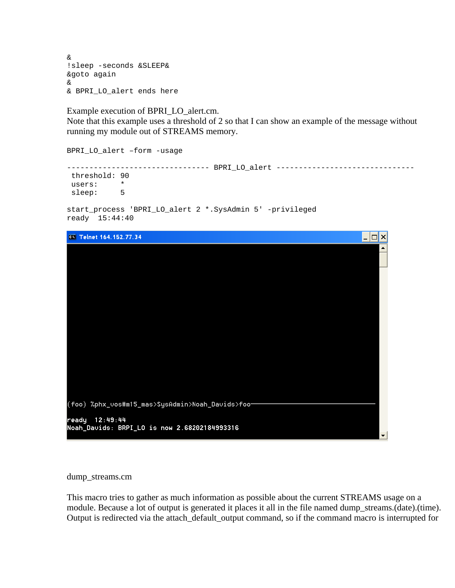& !sleep -seconds &SLEEP& &goto again & & BPRI\_LO\_alert ends here

Example execution of BPRI\_LO\_alert.cm.

Note that this example uses a threshold of 2 so that I can show an example of the message without running my module out of STREAMS memory.

BPRI\_LO\_alert –form -usage

-------------------------------- BPRI\_LO\_alert ------------------------------ threshold: 90 users: \*<br>sleep: 5 sleep:

```
start_process 'BPRI_LO_alert 2 *.SysAdmin 5' -privileged 
ready 15:44:40
```


#### dump\_streams.cm

This macro tries to gather as much information as possible about the current STREAMS usage on a module. Because a lot of output is generated it places it all in the file named dump\_streams.(date).(time). Output is redirected via the attach\_default\_output command, so if the command macro is interrupted for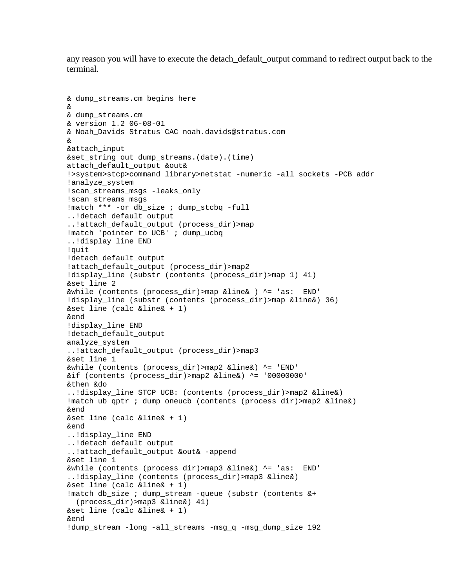any reason you will have to execute the detach\_default\_output command to redirect output back to the terminal.

```
& dump_streams.cm begins here 
& 
& dump_streams.cm 
& version 1.2 06-08-01 
& Noah_Davids Stratus CAC noah.davids@stratus.com 
& 
&attach_input 
&set_string out dump_streams.(date).(time) 
attach_default_output &out& 
!>system>stcp>command_library>netstat -numeric -all_sockets -PCB_addr 
!analyze_system 
!scan_streams_msgs -leaks_only 
!scan_streams_msgs 
!match *** -or db_size ; dump_stcbq -full 
..!detach_default_output 
..!attach_default_output (process_dir)>map 
!match 'pointer to UCB' ; dump_ucbq 
..!display_line END 
!quit 
!detach default output
!attach default output (process dir)>map2
!display_line (substr (contents (process_dir)>map 1) 41) 
&set line 2 
&while (contents (process_dir)>map &line& ) ^= 'as: END' 
!display line (substr (contents (process dir)>map &line&) 36)
&set line (calc &line& + 1) 
&end 
!display_line END 
!detach_default_output 
analyze_system 
..!attach_default_output (process_dir)>map3 
&set line 1 
&while (contents (process_dir)>map2 &line&) ^= 'END' 
&if (contents (process_dir)>map2 &line&) ^= '00000000' 
&then &do 
..!display_line STCP UCB: (contents (process_dir)>map2 &line&) 
!match ub_qptr ; dump_oneucb (contents (process_dir)>map2 &line&) 
&end 
&set line (calc &line& + 1) 
&end 
..!display_line END 
..!detach_default_output 
..!attach_default_output &out& -append 
&set line 1 
&while (contents (process_dir)>map3 &line&) ^= 'as: END' 
..!display_line (contents (process_dir)>map3 &line&) 
&set line (calc &line& + 1) 
!match db_size ; dump_stream -queue (substr (contents &+ 
   (process_dir)>map3 &line&) 41) 
&set line (calc &line& + 1) 
&end 
!dump_stream -long -all_streams -msg_q -msg_dump_size 192
```